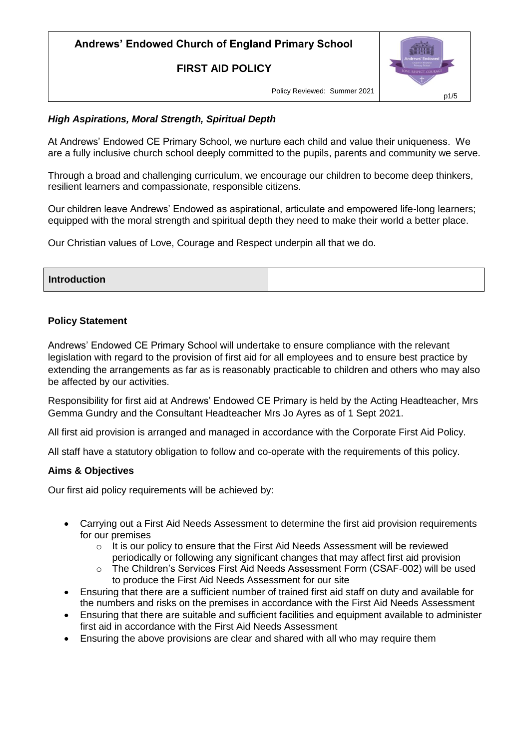**FIRST AID POLICY**



Policy Reviewed: Summer 2021

## *High Aspirations, Moral Strength, Spiritual Depth*

At Andrews' Endowed CE Primary School, we nurture each child and value their uniqueness. We are a fully inclusive church school deeply committed to the pupils, parents and community we serve.

Through a broad and challenging curriculum, we encourage our children to become deep thinkers, resilient learners and compassionate, responsible citizens.

Our children leave Andrews' Endowed as aspirational, articulate and empowered life-long learners; equipped with the moral strength and spiritual depth they need to make their world a better place.

Our Christian values of Love, Courage and Respect underpin all that we do.

| <b>Introduction</b> |  |
|---------------------|--|

### **Policy Statement**

Andrews' Endowed CE Primary School will undertake to ensure compliance with the relevant legislation with regard to the provision of first aid for all employees and to ensure best practice by extending the arrangements as far as is reasonably practicable to children and others who may also be affected by our activities.

Responsibility for first aid at Andrews' Endowed CE Primary is held by the Acting Headteacher, Mrs Gemma Gundry and the Consultant Headteacher Mrs Jo Ayres as of 1 Sept 2021.

All first aid provision is arranged and managed in accordance with the Corporate First Aid Policy.

All staff have a statutory obligation to follow and co-operate with the requirements of this policy.

### **Aims & Objectives**

Our first aid policy requirements will be achieved by:

- Carrying out a First Aid Needs Assessment to determine the first aid provision requirements for our premises
	- $\circ$  It is our policy to ensure that the First Aid Needs Assessment will be reviewed periodically or following any significant changes that may affect first aid provision
	- o The Children's Services First Aid Needs Assessment Form (CSAF-002) will be used to produce the First Aid Needs Assessment for our site
- Ensuring that there are a sufficient number of trained first aid staff on duty and available for the numbers and risks on the premises in accordance with the First Aid Needs Assessment
- Ensuring that there are suitable and sufficient facilities and equipment available to administer first aid in accordance with the First Aid Needs Assessment
- Ensuring the above provisions are clear and shared with all who may require them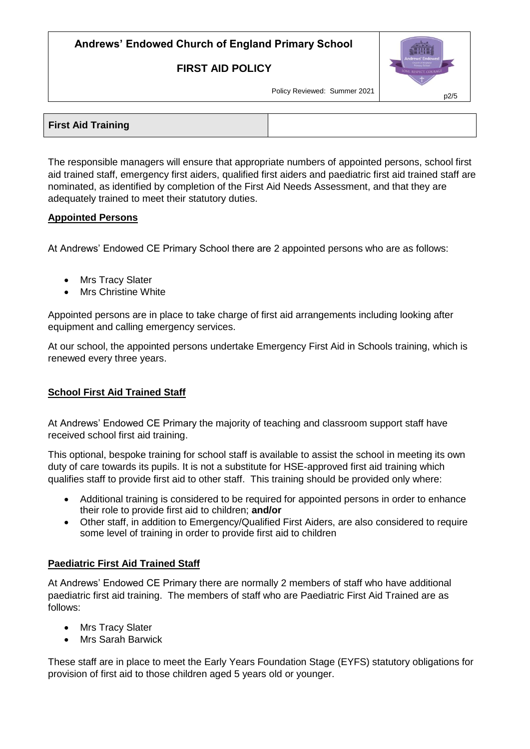### **FIRST AID POLICY**



Policy Reviewed: Summer 2021

| <b>First Aid Training</b> |  |
|---------------------------|--|
|                           |  |

The responsible managers will ensure that appropriate numbers of appointed persons, school first aid trained staff, emergency first aiders, qualified first aiders and paediatric first aid trained staff are nominated, as identified by completion of the First Aid Needs Assessment, and that they are adequately trained to meet their statutory duties.

### **Appointed Persons**

At Andrews' Endowed CE Primary School there are 2 appointed persons who are as follows:

- Mrs Tracy Slater
- Mrs Christine White

Appointed persons are in place to take charge of first aid arrangements including looking after equipment and calling emergency services.

At our school, the appointed persons undertake Emergency First Aid in Schools training, which is renewed every three years.

### **School First Aid Trained Staff**

At Andrews' Endowed CE Primary the majority of teaching and classroom support staff have received school first aid training.

This optional, bespoke training for school staff is available to assist the school in meeting its own duty of care towards its pupils. It is not a substitute for HSE-approved first aid training which qualifies staff to provide first aid to other staff. This training should be provided only where:

- Additional training is considered to be required for appointed persons in order to enhance their role to provide first aid to children; **and/or**
- Other staff, in addition to Emergency/Qualified First Aiders, are also considered to require some level of training in order to provide first aid to children

#### **Paediatric First Aid Trained Staff**

At Andrews' Endowed CE Primary there are normally 2 members of staff who have additional paediatric first aid training. The members of staff who are Paediatric First Aid Trained are as follows:

- Mrs Tracy Slater
- Mrs Sarah Barwick

These staff are in place to meet the Early Years Foundation Stage (EYFS) statutory obligations for provision of first aid to those children aged 5 years old or younger.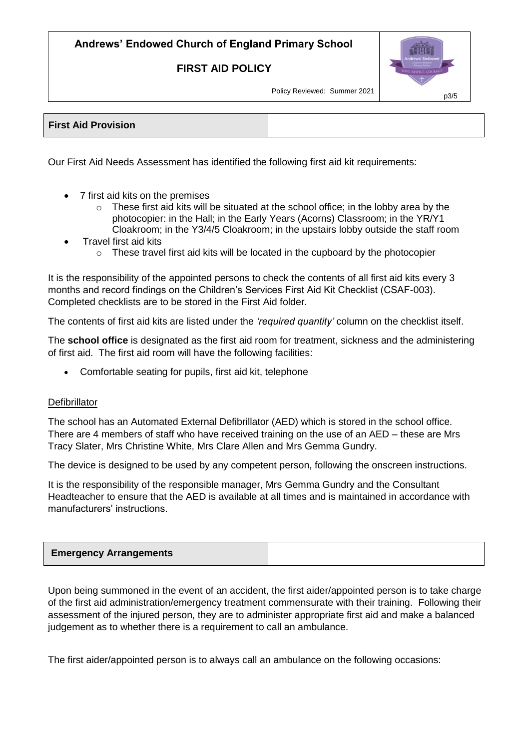### **FIRST AID POLICY**



Policy Reviewed: Summer 2021

| <b>First Aid Provision</b> |  |
|----------------------------|--|
|                            |  |

Our First Aid Needs Assessment has identified the following first aid kit requirements:

- 7 first aid kits on the premises
	- $\circ$  These first aid kits will be situated at the school office; in the lobby area by the photocopier: in the Hall; in the Early Years (Acorns) Classroom; in the YR/Y1 Cloakroom; in the Y3/4/5 Cloakroom; in the upstairs lobby outside the staff room
- Travel first aid kits
	- o These travel first aid kits will be located in the cupboard by the photocopier

It is the responsibility of the appointed persons to check the contents of all first aid kits every 3 months and record findings on the Children's Services First Aid Kit Checklist (CSAF-003). Completed checklists are to be stored in the First Aid folder.

The contents of first aid kits are listed under the *'required quantity'* column on the checklist itself.

The **school office** is designated as the first aid room for treatment, sickness and the administering of first aid. The first aid room will have the following facilities:

Comfortable seating for pupils, first aid kit, telephone

#### **Defibrillator**

The school has an Automated External Defibrillator (AED) which is stored in the school office. There are 4 members of staff who have received training on the use of an AED – these are Mrs Tracy Slater, Mrs Christine White, Mrs Clare Allen and Mrs Gemma Gundry.

The device is designed to be used by any competent person, following the onscreen instructions.

It is the responsibility of the responsible manager, Mrs Gemma Gundry and the Consultant Headteacher to ensure that the AED is available at all times and is maintained in accordance with manufacturers' instructions.

| <b>Emergency Arrangements</b> |  |
|-------------------------------|--|
|                               |  |

Upon being summoned in the event of an accident, the first aider/appointed person is to take charge of the first aid administration/emergency treatment commensurate with their training. Following their assessment of the injured person, they are to administer appropriate first aid and make a balanced judgement as to whether there is a requirement to call an ambulance.

The first aider/appointed person is to always call an ambulance on the following occasions: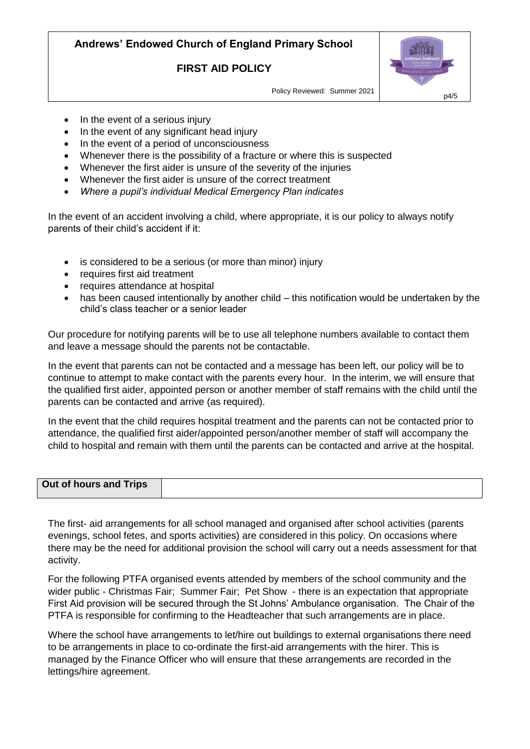### **FIRST AID POLICY**



Policy Reviewed: Summer 2021

- In the event of a serious injury
- In the event of any significant head injury
- In the event of a period of unconsciousness
- Whenever there is the possibility of a fracture or where this is suspected
- Whenever the first aider is unsure of the severity of the injuries
- Whenever the first aider is unsure of the correct treatment
- *Where a pupil's individual Medical Emergency Plan indicates*

In the event of an accident involving a child, where appropriate, it is our policy to always notify parents of their child's accident if it:

- is considered to be a serious (or more than minor) injury
- requires first aid treatment
- requires attendance at hospital
- has been caused intentionally by another child this notification would be undertaken by the child's class teacher or a senior leader

Our procedure for notifying parents will be to use all telephone numbers available to contact them and leave a message should the parents not be contactable.

In the event that parents can not be contacted and a message has been left, our policy will be to continue to attempt to make contact with the parents every hour. In the interim, we will ensure that the qualified first aider, appointed person or another member of staff remains with the child until the parents can be contacted and arrive (as required).

In the event that the child requires hospital treatment and the parents can not be contacted prior to attendance, the qualified first aider/appointed person/another member of staff will accompany the child to hospital and remain with them until the parents can be contacted and arrive at the hospital.

| Out of hours and Trips |  |
|------------------------|--|

The first- aid arrangements for all school managed and organised after school activities (parents evenings, school fetes, and sports activities) are considered in this policy. On occasions where there may be the need for additional provision the school will carry out a needs assessment for that activity.

For the following PTFA organised events attended by members of the school community and the wider public - Christmas Fair; Summer Fair; Pet Show - there is an expectation that appropriate First Aid provision will be secured through the St Johns' Ambulance organisation. The Chair of the PTFA is responsible for confirming to the Headteacher that such arrangements are in place.

Where the school have arrangements to let/hire out buildings to external organisations there need to be arrangements in place to co-ordinate the first-aid arrangements with the hirer. This is managed by the Finance Officer who will ensure that these arrangements are recorded in the lettings/hire agreement.